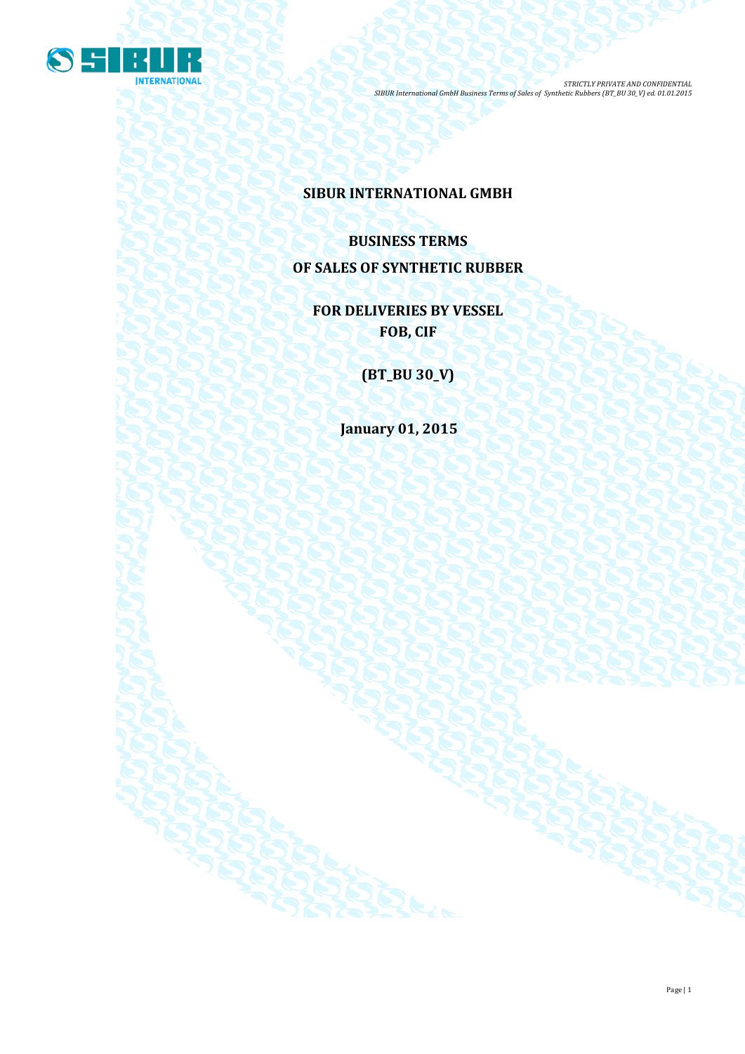

# **SIBUR INTERNATIONAL GMBH**

# **BUSINESS TERMS OF SALES OF SYNTHETIC RUBBER**

**FOR DELIVERIES BY VESSEL FOB, CIF**

**(BT\_BU 30\_V)**

**January 01, 2015**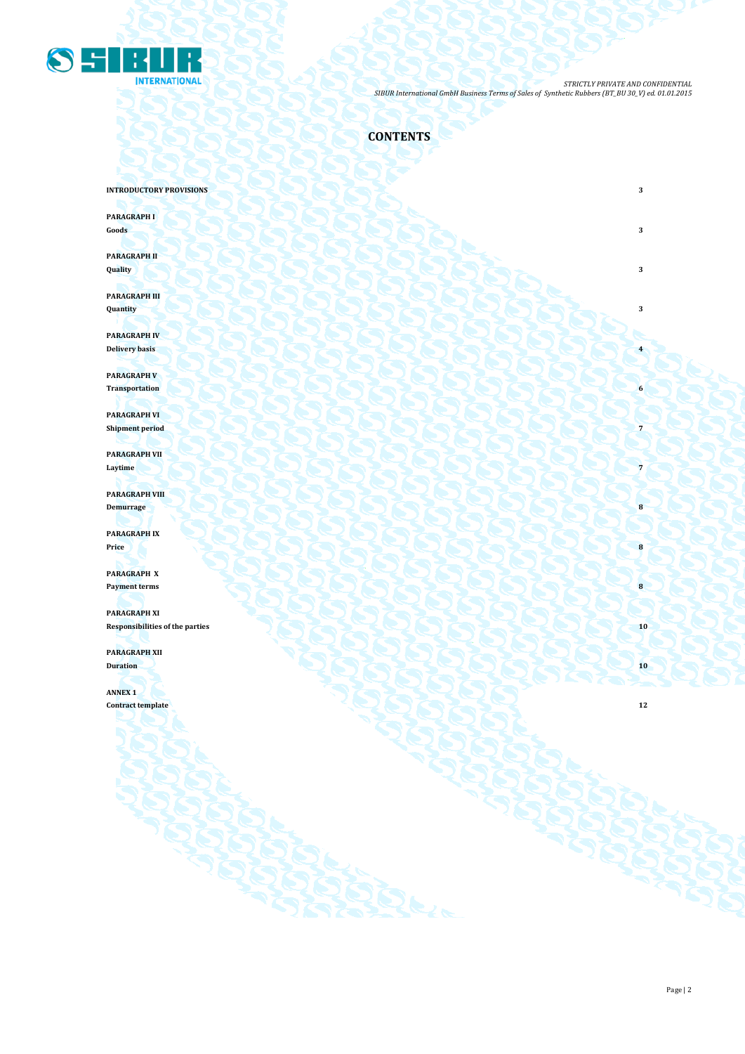

**CONTENTS**

**INTRODUCTORY PROVISIONS** 3

**PARAGRAPH I**

**Goods 3 3** 

**PARAGRAPH II Quality 3**

**PARAGRAPH III Quantity 3**

**PARAGRAPH IV Delivery basis 4 1999 1999 1999 1999 1999 1999 1999 1999 1999 1999 1999 1999 1999 1999 1999 1999 1999 1999 1999 1999 1999 1999 1999 1999 1999 1999 1999 1999 1999** 

**PARAGRAPH V Transportation 6**

**PARAGRAPH VI Shipment period 7** 

**PARAGRAPH VII Laytime 7 1** *Caption <b>7 Caption* **7** *Caption <b>7 Caption 7 Caption 7 Caption 7 Caption 7 Caption 7 Caption 7 Caption 7 Caption 7 Caption 7 Caption 7 Caption 7 Capt* 

**PARAGRAPH VIII Demurrage 18** 

**PARAGRAPH IX Price 8**

**PARAGRAPH X Payment terms 8** 

**PARAGRAPH XI Responsibilities of the parties 10 PARAGRAPH XII**

**Duration 10**

**ANNEX 1 Contract template 12**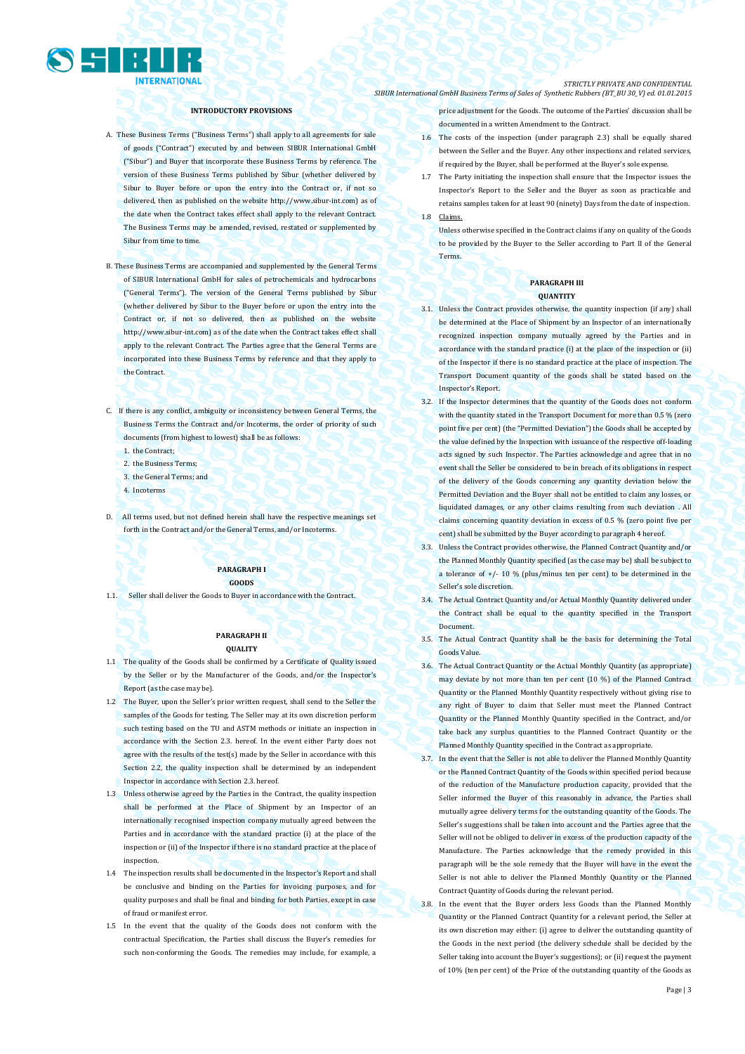

### **INTRODUCTORY PROVISIONS**

- A. These Business Terms ("Business Terms") shall apply to all agreements for sale of goods ("Contract") executed by and between SIBUR International GmbH ("Sibur") and Buyer that incorporate these Business Terms by reference. The version of these Business Terms published by Sibur (whether delivered by Sibur to Buyer before or upon the entry into the Contract or, if not so delivered, then as published on the websit[e http://www.sibur-int.com\)](http://www.sibur-int.com/) as of the date when the Contract takes effect shall apply to the relevant Contract. The Business Terms may be amended, revised, restated or supplemented by Sibur from time to time.
- B. These Business Terms are accompanied and supplemented by the General Terms of SIBUR International GmbH for sales of petrochemicals and hydrocarbons ("General Terms"). The version of the General Terms published by Sibur (whether delivered by Sibur to the Buyer before or upon the entry into the Contract or, if not so delivered, then as published on the website [http://www.sibur-int.com\)](http://www.sibur-int.com/) as of the date when the Contract takes effect shall apply to the relevant Contract. The Parties agree that the General Terms are incorporated into these Business Terms by reference and that they apply to the Contract.
	-
- C. If there is any conflict, ambiguity or inconsistency between General Terms, the Business Terms the Contract and/or Incoterms, the order of priority of such documents (from highest to lowest) shall be as follows:
	- 1. the Contract;
	- 2. the Business Terms;
	- 3. the General Terms; and
	- 4. Incoterms
- D. All terms used, but not defined herein shall have the respective meanings set forth in the Contract and/or the General Terms, and/or Incoterms.

### **PARAGRAPH I GOODS**

1.1. Seller shall deliver the Goods to Buyer in accordance with the Contract.

### **PARAGRAPH II QUALITY**

- 1.1 The quality of the Goods shall be confirmed by a Certificate of Quality issued by the Seller or by the Manufacturer of the Goods, and/or the Inspector's Report (as the case may be).
- 1.2 The Buyer, upon the Seller's prior written request, shall send to the Seller the samples of the Goods for testing. The Seller may at its own discretion perform such testing based on the TU and ASTM methods or initiate an inspection in accordance with the Section 2.3. hereof. In the event either Party does not agree with the results of the test(s) made by the Seller in accordance with this Section 2.2, the quality inspection shall be determined by an independent Inspector in accordance with Section 2.3. hereof.
- 1.3 Unless otherwise agreed by the Parties in the Contract, the quality inspection shall be performed at the Place of Shipment by an Inspector of an internationally recognised inspection company mutually agreed between the Parties and in accordance with the standard practice (i) at the place of the inspection or (ii) of the Inspector if there is no standard practice at the place of inspection.
- 1.4 The inspection results shall be documented in the Inspector's Report and shall be conclusive and binding on the Parties for invoicing purposes, and for quality purposes and shall be final and binding for both Parties, except in case of fraud or manifest error.
- 1.5 In the event that the quality of the Goods does not conform with the contractual Specification, the Parties shall discuss the Buyer's remedies for such non-conforming the Goods. The remedies may include, for example, a

#### *STRICTLY PRIVATE AND CONFIDENTIAL SIBUR International GmbH Business Terms of Sales of Synthetic Rubbers (BT\_BU 30\_V) ed. 01.01.2015*

price adjustment for the Goods. The outcome of the Parties' discussion shall be documented in a written Amendment to the Contract.

- 1.6 The costs of the inspection (under paragraph 2.3) shall be equally shared between the Seller and the Buyer. Any other inspections and related services, if required by the Buyer, shall be performed at the Buyer's sole expense.
- 1.7 The Party initiating the inspection shall ensure that the Inspector issues the Inspector's Report to the Seller and the Buyer as soon as practicable and retains samples taken for at least 90 (ninety) Days from the date of inspection. 1.8 Claims.
	- Unless otherwise specified in the Contract claims if any on quality of the Goods to be provided by the Buyer to the Seller according to Part II of the General **Terms**

### **PARAGRAPH III QUANTITY**

- 3.1. Unless the Contract provides otherwise, the quantity inspection (if any) shall be determined at the Place of Shipment by an Inspector of an internationally recognized inspection company mutually agreed by the Parties and in accordance with the standard practice (i) at the place of the inspection or (ii) of the Inspector if there is no standard practice at the place of inspection. The Transport Document quantity of the goods shall be stated based on the Inspector's Report.
- 3.2. If the Inspector determines that the quantity of the Goods does not conform with the quantity stated in the Transport Document for more than 0.5 % (zero point five per cent) (the "Permitted Deviation") the Goods shall be accepted by the value defined by the Inspection with issuance of the respective off-loading acts signed by such Inspector. The Parties acknowledge and agree that in no event shall the Seller be considered to be in breach of its obligations in respect of the delivery of the Goods concerning any quantity deviation below the Permitted Deviation and the Buyer shall not be entitled to claim any losses, or liquidated damages, or any other claims resulting from such deviation . All claims concerning quantity deviation in excess of 0.5 % (zero point five per cent) shall be submitted by the Buyer according to paragraph 4 hereof.
- 3.3. Unless the Contract provides otherwise, the Planned Contract Quantity and/or the Planned Monthly Quantity specified (as the case may be) shall be subject to a tolerance of  $+/- 10$  % (plus/minus ten per cent) to be determined in the Seller's sole discretion.
- 3.4. The Actual Contract Quantity and/or Actual Monthly Quantity delivered under the Contract shall be equal to the quantity specified in the Transport Document.
- 3.5. The Actual Contract Quantity shall be the basis for determining the Total Goods Value.
- 3.6. The Actual Contract Quantity or the Actual Monthly Quantity (as appropriate) may deviate by not more than ten per cent (10 %) of the Planned Contract Quantity or the Planned Monthly Quantity respectively without giving rise to any right of Buyer to claim that Seller must meet the Planned Contract Quantity or the Planned Monthly Quantity specified in the Contract, and/or take back any surplus quantities to the Planned Contract Quantity or the Planned Monthly Quantity specified in the Contract as appropriate.
- 3.7. In the event that the Seller is not able to deliver the Planned Monthly Quantity or the Planned Contract Quantity of the Goods within specified period because of the reduction of the Manufacture production capacity, provided that the Seller informed the Buyer of this reasonably in advance, the Parties shall mutually agree delivery terms for the outstanding quantity of the Goods. The Seller's suggestions shall be taken into account and the Parties agree that the Seller will not be obliged to deliver in excess of the production capacity of the Manufacture. The Parties acknowledge that the remedy provided in this paragraph will be the sole remedy that the Buyer will have in the event the Seller is not able to deliver the Planned Monthly Quantity or the Planned Contract Quantity of Goods during the relevant period.
- 3.8. In the event that the Buyer orders less Goods than the Planned Monthly Quantity or the Planned Contract Quantity for a relevant period, the Seller at its own discretion may either: (i) agree to deliver the outstanding quantity of the Goods in the next period (the delivery schedule shall be decided by the Seller taking into account the Buyer's suggestions); or (ii) request the payment of 10% (ten per cent) of the Price of the outstanding quantity of the Goods as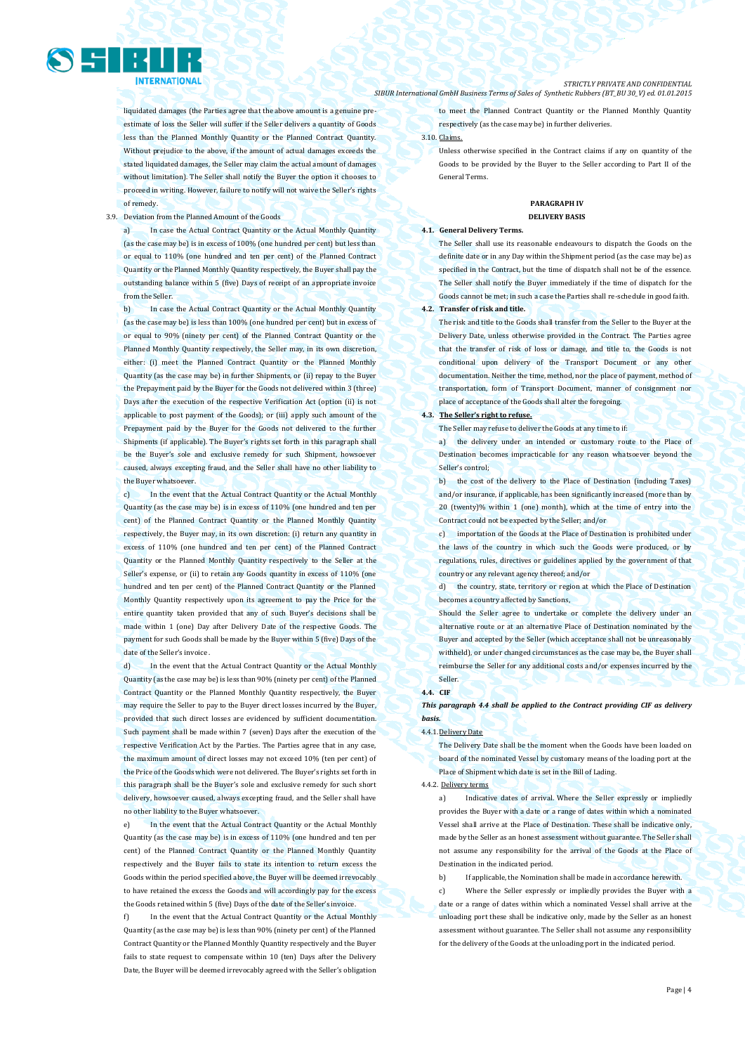liquidated damages (the Parties agree that the above amount is a genuine preestimate of loss the Seller will suffer if the Seller delivers a quantity of Goods less than the Planned Monthly Quantity or the Planned Contract Quantity. Without prejudice to the above, if the amount of actual damages exceeds the stated liquidated damages, the Seller may claim the actual amount of damages without limitation). The Seller shall notify the Buyer the option it chooses to proceed in writing. However, failure to notify will not waive the Seller's rights of remedy.

### 3.9. Deviation from the Planned Amount of the Goods

a) In case the Actual Contract Quantity or the Actual Monthly Quantity (as the case may be) is in excess of 100% (one hundred per cent) but less than or equal to 110% (one hundred and ten per cent) of the Planned Contract Quantity or the Planned Monthly Quantity respectively, the Buyer shall pay the outstanding balance within 5 (five) Days of receipt of an appropriate invoice from the Seller.

In case the Actual Contract Quantity or the Actual Monthly Quantity (as the case may be) is less than 100% (one hundred per cent) but in excess of or equal to 90% (ninety per cent) of the Planned Contract Quantity or the Planned Monthly Quantity respectively, the Seller may, in its own discretion, either: (i) meet the Planned Contract Quantity or the Planned Monthly Quantity (as the case may be) in further Shipments, or (ii) repay to the Buyer the Prepayment paid by the Buyer for the Goods not delivered within 3 (three) Days after the execution of the respective Verification Act (option (ii) is not applicable to post payment of the Goods); or (iii) apply such amount of the Prepayment paid by the Buyer for the Goods not delivered to the further Shipments (if applicable). The Buyer's rights set forth in this paragraph shall be the Buyer's sole and exclusive remedy for such Shipment, howsoever caused, always excepting fraud, and the Seller shall have no other liability to the Buyer whatsoever.

c) In the event that the Actual Contract Quantity or the Actual Monthly Quantity (as the case may be) is in excess of 110% (one hundred and ten per cent) of the Planned Contract Quantity or the Planned Monthly Quantity respectively, the Buyer may, in its own discretion: (i) return any quantity in excess of 110% (one hundred and ten per cent) of the Planned Contract Quantity or the Planned Monthly Quantity respectively to the Seller at the Seller's expense, or (ii) to retain any Goods quantity in excess of 110% (one hundred and ten per cent) of the Planned Contract Quantity or the Planned Monthly Quantity respectively upon its agreement to pay the Price for the entire quantity taken provided that any of such Buyer's decisions shall be made within 1 (one) Day after Delivery Date of the respective Goods. The payment for such Goods shall be made by the Buyer within 5 (five) Days of the date of the Seller's invoice

d) In the event that the Actual Contract Quantity or the Actual Monthly Quantity (as the case may be) is less than 90% (ninety per cent) of the Planned Contract Quantity or the Planned Monthly Quantity respectively, the Buyer may require the Seller to pay to the Buyer direct losses incurred by the Buyer, provided that such direct losses are evidenced by sufficient documentation. Such payment shall be made within 7 (seven) Days after the execution of the respective Verification Act by the Parties. The Parties agree that in any case, the maximum amount of direct losses may not exceed 10% (ten per cent) of the Price of the Goods which were not delivered. The Buyer's rights set forth in this paragraph shall be the Buyer's sole and exclusive remedy for such short delivery, howsoever caused, always excepting fraud, and the Seller shall have no other liability to the Buyer whatsoever.

e) In the event that the Actual Contract Quantity or the Actual Monthly Quantity (as the case may be) is in excess of 110% (one hundred and ten per cent) of the Planned Contract Quantity or the Planned Monthly Quantity respectively and the Buyer fails to state its intention to return excess the Goods within the period specified above, the Buyer will be deemed irrevocably to have retained the excess the Goods and will accordingly pay for the excess the Goods retained within 5 (five) Days of the date of the Seller's invoice.

In the event that the Actual Contract Quantity or the Actual Monthly Quantity (as the case may be) is less than 90% (ninety per cent) of the Planned Contract Quantity or the Planned Monthly Quantity respectively and the Buyer fails to state request to compensate within 10 (ten) Days after the Delivery Date, the Buyer will be deemed irrevocably agreed with the Seller's obligation

#### *STRICTLY PRIVATE AND CONFIDENTIAL SIBUR International GmbH Business Terms of Sales of Synthetic Rubbers (BT\_BU 30\_V) ed. 01.01.2015*

to meet the Planned Contract Quantity or the Planned Monthly Quantity respectively (as the case may be) in further deliveries.

3.10. Claims.

Unless otherwise specified in the Contract claims if any on quantity of the Goods to be provided by the Buyer to the Seller according to Part II of the General Terms.

### **PARAGRAPH IV DELIVERY BASIS**

### **4.1. General Delivery Terms.**

The Seller shall use its reasonable endeavours to dispatch the Goods on the definite date or in any Day within the Shipment period (as the case may be) as specified in the Contract, but the time of dispatch shall not be of the essence. The Seller shall notify the Buyer immediately if the time of dispatch for the Goods cannot be met; in such a case the Parties shall re-schedule in good faith. **4.2. Transfer of risk and title.** 

The risk and title to the Goods shall transfer from the Seller to the Buyer at the Delivery Date, unless otherwise provided in the Contract. The Parties agree that the transfer of risk of loss or damage, and title to, the Goods is not conditional upon delivery of the Transport Document or any other documentation. Neither the time, method, nor the place of payment, method of transportation, form of Transport Document, manner of consignment nor place of acceptance of the Goods shall alter the foregoing.

#### **4.3. The Seller's right to refuse.**

The Seller may refuse to deliver the Goods at any time to if:

a) the delivery under an intended or customary route to the Place of Destination becomes impracticable for any reason whatsoever beyond the Seller's control;

b) the cost of the delivery to the Place of Destination (including Taxes) and/or insurance, if applicable, has been significantly increased (more than by 20 (twenty)% within 1 (one) month), which at the time of entry into the Contract could not be expected by the Seller; and/or

c) importation of the Goods at the Place of Destination is prohibited under the laws of the country in which such the Goods were produced, or by regulations, rules, directives or guidelines applied by the government of that country or any relevant agency thereof; and/or

d) the country, state, territory or region at which the Place of Destination becomes a country affected by Sanctions,

Should the Seller agree to undertake or complete the delivery under an alternative route or at an alternative Place of Destination nominated by the Buyer and accepted by the Seller (which acceptance shall not be unreasonably withheld), or under changed circumstances as the case may be, the Buyer shall reimburse the Seller for any additional costs and/or expenses incurred by the Seller.

### **4.4. CIF**

*This paragraph 4.4 shall be applied to the Contract providing CIF as delivery basis.*

#### 4.4.1.Delivery Date

The Delivery Date shall be the moment when the Goods have been loaded on board of the nominated Vessel by customary means of the loading port at the Place of Shipment which date is set in the Bill of Lading.

### 4.4.2. Delivery terms

a) Indicative dates of arrival. Where the Seller expressly or impliedly provides the Buyer with a date or a range of dates within which a nominated Vessel shall arrive at the Place of Destination. These shall be indicative only, made by the Seller as an honest assessment without guarantee. The Seller shall not assume any responsibility for the arrival of the Goods at the Place of Destination in the indicated period.

b) If applicable, the Nomination shall be made in accordance herewith. c) Where the Seller expressly or impliedly provides the Buyer with a date or a range of dates within which a nominated Vessel shall arrive at the unloading port these shall be indicative only, made by the Seller as an honest assessment without guarantee. The Seller shall not assume any responsibility for the delivery of the Goods at the unloading port in the indicated period.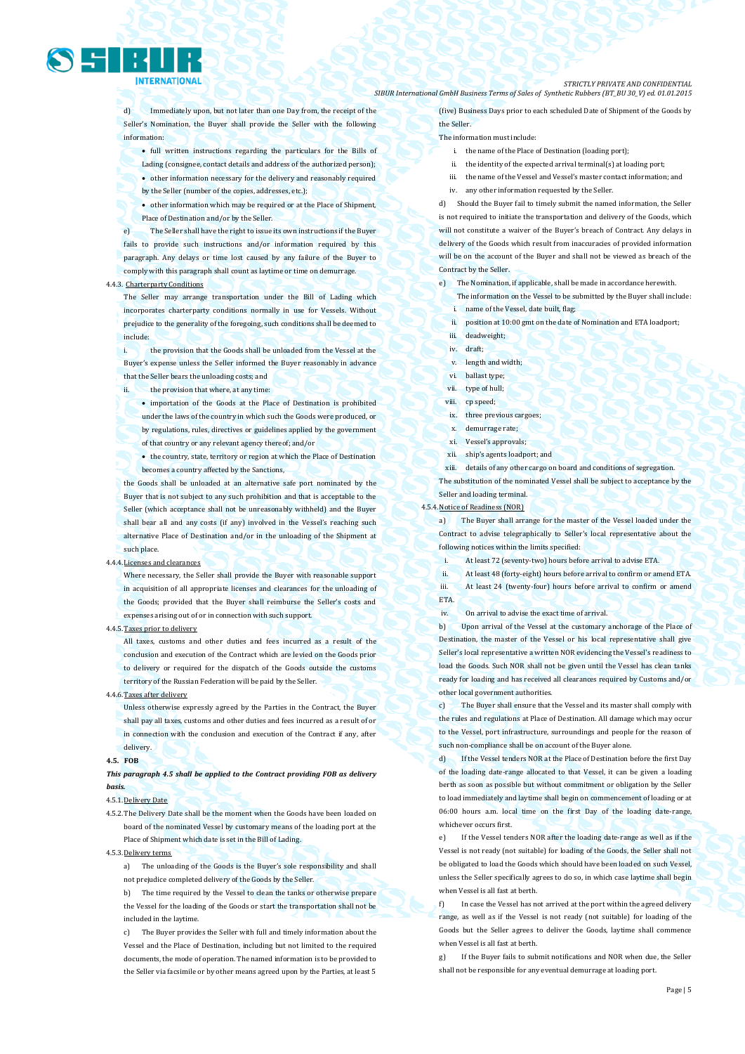

d) Immediately upon, but not later than one Day from, the receipt of the Seller's Nomination, the Buyer shall provide the Seller with the following information:

- full written instructions regarding the particulars for the Bills of Lading (consignee, contact details and address of the authorized person);
- other information necessary for the delivery and reasonably required
- by the Seller (number of the copies, addresses, etc.);

 other information which may be required or at the Place of Shipment, Place of Destination and/or by the Seller.

The Seller shall have the right to issue its own instructions if the Buyer fails to provide such instructions and/or information required by this paragraph. Any delays or time lost caused by any failure of the Buyer to comply with this paragraph shall count as laytime or time on demurrage.

### 4.4.3. Charterparty Conditions

The Seller may arrange transportation under the Bill of Lading which incorporates charterparty conditions normally in use for Vessels. Without prejudice to the generality of the foregoing, such conditions shall be deemed to include:

the provision that the Goods shall be unloaded from the Vessel at the Buyer's expense unless the Seller informed the Buyer reasonably in advance that the Seller bears the unloading costs; and

ii. the provision that where, at any time:

• importation of the Goods at the Place of Destination is prohibited under the laws of the country in which such the Goods were produced, or by regulations, rules, directives or guidelines applied by the government of that country or any relevant agency thereof; and/or

 the country, state, territory or region at which the Place of Destination becomes a country affected by the Sanctions,

the Goods shall be unloaded at an alternative safe port nominated by the Buyer that is not subject to any such prohibition and that is acceptable to the Seller (which acceptance shall not be unreasonably withheld) and the Buyer shall bear all and any costs (if any) involved in the Vessel's reaching such alternative Place of Destination and/or in the unloading of the Shipment at such place.

#### $4.4.4.$

Where necessary, the Seller shall provide the Buyer with reasonable support in acquisition of all appropriate licenses and clearances for the unloading of the Goods; provided that the Buyer shall reimburse the Seller's costs and expenses arising out of or in connection with such support.

### 4.4.5.Taxes prior to delivery

All taxes, customs and other duties and fees incurred as a result of the conclusion and execution of the Contract which are levied on the Goods prior to delivery or required for the dispatch of the Goods outside the customs territory of the Russian Federation will be paid by the Seller.

#### 4.4.6.Taxes after delivery

Unless otherwise expressly agreed by the Parties in the Contract, the Buyer shall pay all taxes, customs and other duties and fees incurred as a result of or in connection with the conclusion and execution of the Contract if any, after delivery.

#### **4.5. FOB**

*This paragraph 4.5 shall be applied to the Contract providing FOB as delivery basis.* 

### 4.5.1.Delivery Date

4.5.2.The Delivery Date shall be the moment when the Goods have been loaded on board of the nominated Vessel by customary means of the loading port at the Place of Shipment which date is set in the Bill of Lading.

#### 4.5.3.Delivery terms

a) The unloading of the Goods is the Buyer's sole responsibility and shall not prejudice completed delivery of the Goods by the Seller.

b) The time required by the Vessel to clean the tanks or otherwise prepare the Vessel for the loading of the Goods or start the transportation shall not be included in the laytime.

c) The Buyer provides the Seller with full and timely information about the Vessel and the Place of Destination, including but not limited to the required documents, the mode of operation. The named information is to be provided to the Seller via facsimile or by other means agreed upon by the Parties, at least 5

#### *STRICTLY PRIVATE AND CONFIDENTIAL SIBUR International GmbH Business Terms of Sales of Synthetic Rubbers (BT\_BU 30\_V) ed. 01.01.2015*

(five) Business Days prior to each scheduled Date of Shipment of the Goods by the Seller.

#### The information must include:

- i. the name of the Place of Destination (loading port);
- ii. the identity of the expected arrival terminal(s) at loading port;
- iii. the name of the Vessel and Vessel's master contact information; and
- iv. any other information requested by the Seller.

d) Should the Buyer fail to timely submit the named information, the Seller is not required to initiate the transportation and delivery of the Goods, which will not constitute a waiver of the Buyer's breach of Contract. Any delays in delivery of the Goods which result from inaccuracies of provided information will be on the account of the Buyer and shall not be viewed as breach of the Contract by the Seller.

- e) The Nomination, if applicable, shall be made in accordance herewith.
	- The information on the Vessel to be submitted by the Buyer shall include: i. name of the Vessel, date built, flag;
	- ii. position at 10:00 gmt on the date of Nomination and ETA loadport;
	- iii. deadweight:
	- iv. draft;
- v. length and width;
- vi. ballast type;
- vii. type of hull;
- viii. cp speed:
- ix. three previous cargoes;
- demurrage rate;
- xi. Vessel's approvals;
- xii. ship's agents loadport; and
- xiii. details of any other cargo on board and conditions of segregation.

The substitution of the nominated Vessel shall be subject to acceptance by the Seller and loading terminal.

### 4.5.4.Notice of Readiness (NOR)

ETA.

a) The Buyer shall arrange for the master of the Vessel loaded under the Contract to advise telegraphically to Seller's local representative about the following notices within the limits specified:

- i. At least 72 (seventy-two) hours before arrival to advise ETA.
- ii. At least 48 (forty-eight) hours before arrival to confirm or amend ETA.
- iii. At least 24 (twenty-four) hours before arrival to confirm or amend
- iv. On arrival to advise the exact time of arrival.

b) Upon arrival of the Vessel at the customary anchorage of the Place of Destination, the master of the Vessel or his local representative shall give Seller's local representative a written NOR evidencing the Vessel's readiness to load the Goods. Such NOR shall not be given until the Vessel has clean tanks ready for loading and has received all clearances required by Customs and/or other local government authorities.

c) The Buyer shall ensure that the Vessel and its master shall comply with the rules and regulations at Place of Destination. All damage which may occur to the Vessel, port infrastructure, surroundings and people for the reason of such non-compliance shall be on account of the Buyer alone.

d) If the Vessel tenders NOR at the Place of Destination before the first Day of the loading date-range allocated to that Vessel, it can be given a loading berth as soon as possible but without commitment or obligation by the Seller to load immediately and laytime shall begin on commencement of loading or at 06:00 hours a.m. local time on the first Day of the loading date-range, whichever occurs first.

e) If the Vessel tenders NOR after the loading date-range as well as if the Vessel is not ready (not suitable) for loading of the Goods, the Seller shall not be obligated to load the Goods which should have been loaded on such Vessel, unless the Seller specifically agrees to do so, in which case laytime shall begin when Vessel is all fast at berth.

f) In case the Vessel has not arrived at the port within the agreed delivery range, as well as if the Vessel is not ready (not suitable) for loading of the Goods but the Seller agrees to deliver the Goods, laytime shall commence when Vessel is all fast at berth.

g) If the Buyer fails to submit notifications and NOR when due, the Seller shall not be responsible for any eventual demurrage at loading port.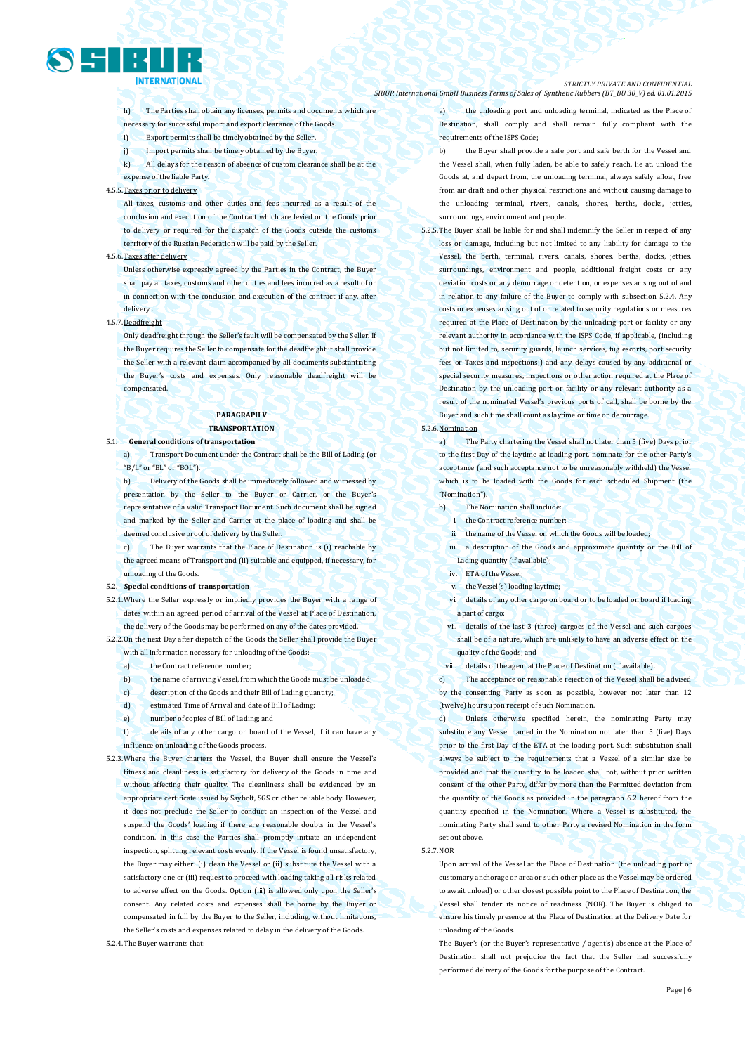

h) The Parties shall obtain any licenses, permits and documents which are necessary for successful import and export clearance of the Goods.

- i) Export permits shall be timely obtained by the Seller.
- j) Import permits shall be timely obtained by the Buyer.
- k) All delays for the reason of absence of custom clearance shall be at the expense of the liable Party.

#### 4.5.5.Taxes prior to delivery

All taxes, customs and other duties and fees incurred as a result of the conclusion and execution of the Contract which are levied on the Goods prior to delivery or required for the dispatch of the Goods outside the customs territory of the Russian Federation will be paid by the Seller.

### 4.5.6.Taxes after delivery

Unless otherwise expressly agreed by the Parties in the Contract, the Buyer shall pay all taxes, customs and other duties and fees incurred as a result of or in connection with the conclusion and execution of the contract if any, after delivery .

### 4.5.7.Deadfreight

Only deadfreight through the Seller's fault will be compensated by the Seller. If the Buyer requires the Seller to compensate for the deadfreight it shall provide the Seller with a relevant claim accompanied by all documents substantiating the Buyer's costs and expenses. Only reasonable deadfreight will be compensated.

### **PARAGRAPH V TRANSPORTATION**

5.1. **General conditions of transportation**

a) Transport Document under the Contract shall be the Bill of Lading (or "B/L" or "BL" or "BOL").

b) Delivery of the Goods shall be immediately followed and witnessed by presentation by the Seller to the Buyer or Carrier, or the Buyer's representative of a valid Transport Document. Such document shall be signed and marked by the Seller and Carrier at the place of loading and shall be deemed conclusive proof of delivery by the Seller.

The Buyer warrants that the Place of Destination is (i) reachable by the agreed means of Transport and (ii) suitable and equipped, if necessary, for unloading of the Goods.

#### 5.2. **Special conditions of transportation**

5.2.1.Where the Seller expressly or impliedly provides the Buyer with a range of dates within an agreed period of arrival of the Vessel at Place of Destination, the delivery of the Goods may be performed on any of the dates provided.

5.2.2.On the next Day after dispatch of the Goods the Seller shall provide the Buyer with all information necessary for unloading of the Goods:

- a) the Contract reference number;
- b) the name of arriving Vessel, from which the Goods must be unloaded;
- c) description of the Goods and their Bill of Lading quantity;
- d) estimated Time of Arrival and date of Bill of Lading;
- e) number of copies of Bill of Lading; and

f) details of any other cargo on board of the Vessel, if it can have any influence on unloading of the Goods process.

5.2.3.Where the Buyer charters the Vessel, the Buyer shall ensure the Vessel's fitness and cleanliness is satisfactory for delivery of the Goods in time and without affecting their quality. The cleanliness shall be evidenced by an appropriate certificate issued by Saybolt, SGS or other reliable body. However, it does not preclude the Seller to conduct an inspection of the Vessel and suspend the Goods' loading if there are reasonable doubts in the Vessel's condition. In this case the Parties shall promptly initiate an independent inspection, splitting relevant costs evenly. If the Vessel is found unsatisfactory, the Buyer may either: (i) clean the Vessel or (ii) substitute the Vessel with a satisfactory one or (iii) request to proceed with loading taking all risks related to adverse effect on the Goods. Option (iii) is allowed only upon the Seller's consent. Any related costs and expenses shall be borne by the Buyer or compensated in full by the Buyer to the Seller, including, without limitations, the Seller's costs and expenses related to delay in the delivery of the Goods.

5.2.4.The Buyer warrants that:

#### *STRICTLY PRIVATE AND CONFIDENTIAL SIBUR International GmbH Business Terms of Sales of Synthetic Rubbers (BT\_BU 30\_V) ed. 01.01.2015*

a) the unloading port and unloading terminal, indicated as the Place of Destination, shall comply and shall remain fully compliant with the requirements of the ISPS Code;

- b) the Buyer shall provide a safe port and safe berth for the Vessel and the Vessel shall, when fully laden, be able to safely reach, lie at, unload the Goods at, and depart from, the unloading terminal, always safely afloat, free from air draft and other physical restrictions and without causing damage to the unloading terminal, rivers, canals, shores, berths, docks, jetties, surroundings, environment and people.
- 5.2.5.The Buyer shall be liable for and shall indemnify the Seller in respect of any loss or damage, including but not limited to any liability for damage to the Vessel, the berth, terminal, rivers, canals, shores, berths, docks, jetties, surroundings, environment and people, additional freight costs or any deviation costs or any demurrage or detention, or expenses arising out of and in relation to any failure of the Buyer to comply with subsection 5.2.4. Any costs or expenses arising out of or related to security regulations or measures required at the Place of Destination by the unloading port or facility or any relevant authority in accordance with the ISPS Code, if applicable, (including but not limited to, security guards, launch services, tug escorts, port security fees or Taxes and inspections;) and any delays caused by any additional or special security measures, inspections or other action required at the Place of Destination by the unloading port or facility or any relevant authority as a result of the nominated Vessel's previous ports of call, shall be borne by the Buyer and such time shall count as laytime or time on demurrage.

#### 5.2.6.Nomination

a) The Party chartering the Vessel shall not later than 5 (five) Days prior to the first Day of the laytime at loading port, nominate for the other Party's acceptance (and such acceptance not to be unreasonably withheld) the Vessel which is to be loaded with the Goods for each scheduled Shipment (the "Nomination").

- b) The Nomination shall include:
	- i. the Contract reference number;
	- the name of the Vessel on which the Goods will be loaded;
- iii. a description of the Goods and approximate quantity or the Bill of Lading quantity (if available);
- iv. ETA of the Vessel;
- v. the Vessel(s) loading laytime;
- vi. details of any other cargo on board or to be loaded on board if loading a part of cargo;
- vii. details of the last 3 (three) cargoes of the Vessel and such cargoes shall be of a nature, which are unlikely to have an adverse effect on the quality of the Goods; and
- viii. details of the agent at the Place of Destination (if available).

c) The acceptance or reasonable rejection of the Vessel shall be advised by the consenting Party as soon as possible, however not later than 12 (twelve) hours upon receipt of such Nomination.

d) Unless otherwise specified herein, the nominating Party may substitute any Vessel named in the Nomination not later than 5 (five) Days prior to the first Day of the ETA at the loading port. Such substitution shall always be subject to the requirements that a Vessel of a similar size be provided and that the quantity to be loaded shall not, without prior written consent of the other Party, differ by more than the Permitted deviation from the quantity of the Goods as provided in the paragraph 6.2 hereof from the quantity specified in the Nomination. Where a Vessel is substituted, the nominating Party shall send to other Party a revised Nomination in the form set out above.

5.2.7.NOR

Upon arrival of the Vessel at the Place of Destination (the unloading port or customary anchorage or area or such other place as the Vessel may be ordered to await unload) or other closest possible point to the Place of Destination, the Vessel shall tender its notice of readiness (NOR). The Buyer is obliged to ensure his timely presence at the Place of Destination at the Delivery Date for unloading of the Goods.

The Buyer's (or the Buyer's representative / agent's) absence at the Place of Destination shall not prejudice the fact that the Seller had successfully performed delivery of the Goods for the purpose of the Contract.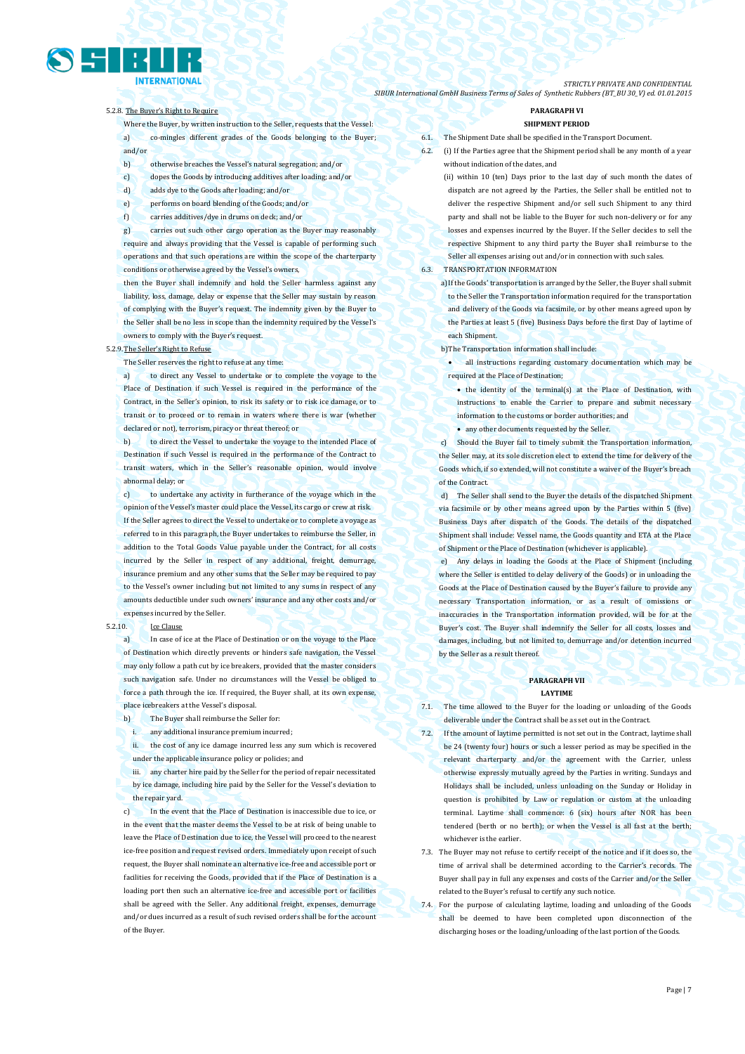Page | 7

*STRICTLY PRIVATE AND CONFIDENTIAL SIBUR International GmbH Business Terms of Sales of Synthetic Rubbers (BT\_BU 30\_V) ed. 01.01.2015*

### 5.2.8. The Buyer's Right to Require

Where the Buyer, by written instruction to the Seller, requests that the Vessel: a) co-mingles different grades of the Goods belonging to the Buyer; and/or

- b) otherwise breaches the Vessel's natural segregation; and/or
- c) dopes the Goods by introducing additives after loading; and/or
- d) adds dye to the Goods after loading; and/or
- e) performs on board blending of the Goods; and/or
- f) carries additives/dye in drums on deck; and/or

g) carries out such other cargo operation as the Buyer may reasonably require and always providing that the Vessel is capable of performing such operations and that such operations are within the scope of the charterparty conditions or otherwise agreed by the Vessel's owners,

then the Buyer shall indemnify and hold the Seller harmless against any liability, loss, damage, delay or expense that the Seller may sustain by reason of complying with the Buyer's request. The indemnity given by the Buyer to the Seller shall be no less in scope than the indemnity required by the Vessel's owners to comply with the Buyer's request.

### 5.2.9.The Seller's Right to Refuse

The Seller reserves the right to refuse at any time:

a) to direct any Vessel to undertake or to complete the voyage to the Place of Destination if such Vessel is required in the performance of the Contract, in the Seller's opinion, to risk its safety or to risk ice damage, or to transit or to proceed or to remain in waters where there is war (whether declared or not), terrorism, piracy or threat thereof; or

b) to direct the Vessel to undertake the voyage to the intended Place of Destination if such Vessel is required in the performance of the Contract to transit waters, which in the Seller's reasonable opinion, would involve abnormal delay; or

c) to undertake any activity in furtherance of the voyage which in the opinion of the Vessel's master could place the Vessel, its cargo or crew at risk. If the Seller agrees to direct the Vessel to undertake or to complete a voyage as referred to in this paragraph, the Buyer undertakes to reimburse the Seller, in addition to the Total Goods Value payable under the Contract, for all costs incurred by the Seller in respect of any additional, freight, demurrage, insurance premium and any other sums that the Seller may be required to pay to the Vessel's owner including but not limited to any sums in respect of any amounts deductible under such owners' insurance and any other costs and/or expenses incurred by the Seller.

### 5.2.10. Ice Clause

a) In case of ice at the Place of Destination or on the voyage to the Place of Destination which directly prevents or hinders safe navigation, the Vessel may only follow a path cut by ice breakers, provided that the master considers such navigation safe. Under no circumstances will the Vessel be obliged to force a path through the ice. If required, the Buyer shall, at its own expense, place icebreakers at the Vessel's disposal.

- b) The Buyer shall reimburse the Seller for:
	- i. any additional insurance premium incurred;

ii. the cost of any ice damage incurred less any sum which is recovered under the applicable insurance policy or policies; and

iii. any charter hire paid by the Seller for the period of repair necessitated by ice damage, including hire paid by the Seller for the Vessel's deviation to the repair yard.

c) In the event that the Place of Destination is inaccessible due to ice, or in the event that the master deems the Vessel to be at risk of being unable to leave the Place of Destination due to ice, the Vessel will proceed to the nearest ice-free position and request revised orders. Immediately upon receipt of such request, the Buyer shall nominate an alternative ice-free and accessible port or facilities for receiving the Goods, provided that if the Place of Destination is a loading port then such an alternative ice-free and accessible port or facilities shall be agreed with the Seller. Any additional freight, expenses, demurrage and/or dues incurred as a result of such revised orders shall be for the account of the Buyer.

#### **PARAGRAPH VI SHIPMENT PERIOD**

- **The Shipment Date shall be specified in the Transport Document.**
- 6.2. (i) If the Parties agree that the Shipment period shall be any month of a year without indication of the dates, and

(ii) within 10 (ten) Days prior to the last day of such month the dates of dispatch are not agreed by the Parties, the Seller shall be entitled not to deliver the respective Shipment and/or sell such Shipment to any third party and shall not be liable to the Buyer for such non-delivery or for any losses and expenses incurred by the Buyer. If the Seller decides to sell the respective Shipment to any third party the Buyer shall reimburse to the Seller all expenses arising out and/or in connection with such sales.

### 6.3. TRANSPORTATION INFORMATION

a)If the Goods' transportation is arranged by the Seller, the Buyer shall submit to the Seller the Transportation information required for the transportation and delivery of the Goods via facsimile, or by other means agreed upon by the Parties at least 5 (five) Business Days before the first Day of laytime of each Shipment.

b)The Transportation information shall include:

 all instructions regarding customary documentation which may be required at the Place of Destination;

- $\bullet$  the identity of the terminal(s) at the Place of Destination, with instructions to enable the Carrier to prepare and submit necessary information to the customs or border authorities; and
- any other documents requested by the Seller.

Should the Buyer fail to timely submit the Transportation information, the Seller may, at its sole discretion elect to extend the time for delivery of the Goods which, if so extended, will not constitute a waiver of the Buyer's breach of the Contract.

d) The Seller shall send to the Buyer the details of the dispatched Shipment via facsimile or by other means agreed upon by the Parties within 5 (five) Business Days after dispatch of the Goods. The details of the dispatched Shipment shall include: Vessel name, the Goods quantity and ETA at the Place of Shipment or the Place of Destination (whichever is applicable).

Any delays in loading the Goods at the Place of Shipment (including where the Seller is entitled to delay delivery of the Goods) or in unloading the Goods at the Place of Destination caused by the Buyer's failure to provide any necessary Transportation information, or as a result of omissions or inaccuracies in the Transportation information provided, will be for at the Buyer's cost. The Buyer shall indemnify the Seller for all costs, losses and damages, including, but not limited to, demurrage and/or detention incurred by the Seller as a result thereof.

### **PARAGRAPH VII LAYTIME**

- 7.1. The time allowed to the Buyer for the loading or unloading of the Goods deliverable under the Contract shall be as set out in the Contract.
- 7.2. If the amount of laytime permitted is not set out in the Contract, laytime shall be 24 (twenty four) hours or such a lesser period as may be specified in the relevant charterparty and/or the agreement with the Carrier, unless otherwise expressly mutually agreed by the Parties in writing. Sundays and Holidays shall be included, unless unloading on the Sunday or Holiday in question is prohibited by Law or regulation or custom at the unloading terminal. Laytime shall commence: 6 (six) hours after NOR has been tendered (berth or no berth); or when the Vessel is all fast at the berth; whichever is the earlier.

7.3. The Buyer may not refuse to certify receipt of the notice and if it does so, the time of arrival shall be determined according to the Carrier's records. The Buyer shall pay in full any expenses and costs of the Carrier and/or the Seller related to the Buyer's refusal to certify any such notice.

7.4. For the purpose of calculating laytime, loading and unloading of the Goods shall be deemed to have been completed upon disconnection of the discharging hoses or the loading/unloading of the last portion of the Goods.

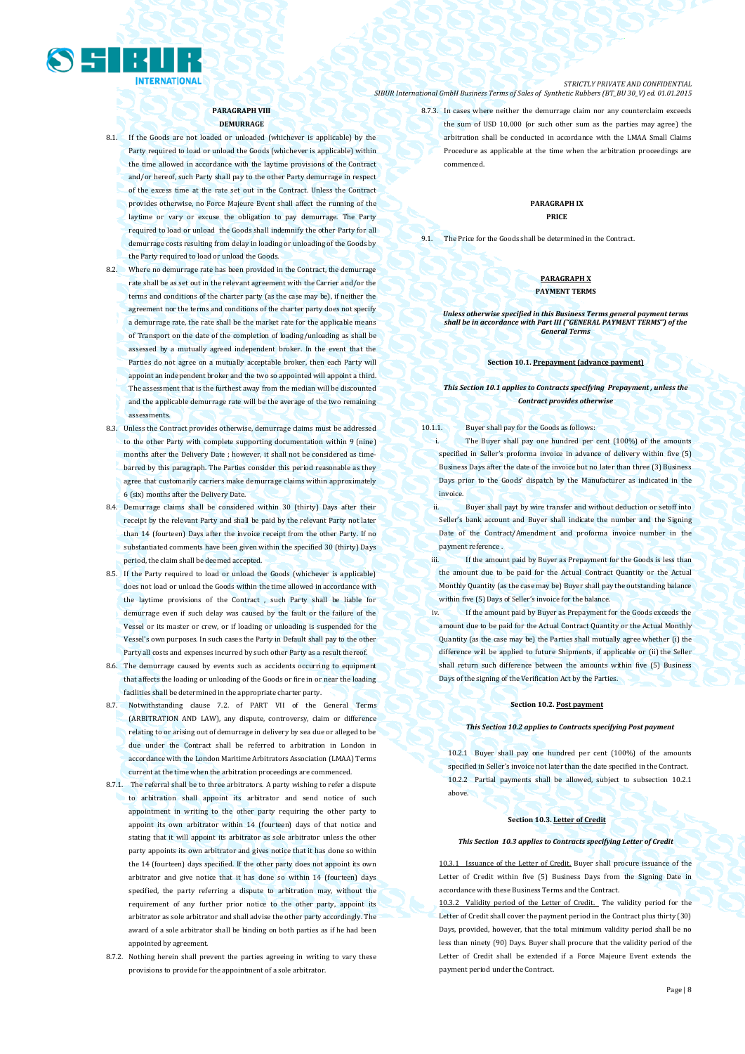

**PARAGRAPH VIII DEMURRAGE**

- 8.1. If the Goods are not loaded or unloaded (whichever is applicable) by the Party required to load or unload the Goods (whichever is applicable) within the time allowed in accordance with the laytime provisions of the Contract and/or hereof, such Party shall pay to the other Party demurrage in respect of the excess time at the rate set out in the Contract. Unless the Contract provides otherwise, no Force Majeure Event shall affect the running of the laytime or vary or excuse the obligation to pay demurrage. The Party required to load or unload the Goods shall indemnify the other Party for all demurrage costs resulting from delay in loading or unloading of the Goods by the Party required to load or unload the Goods.
- 8.2. Where no demurrage rate has been provided in the Contract, the demurrage rate shall be as set out in the relevant agreement with the Carrier and/or the terms and conditions of the charter party (as the case may be), if neither the agreement nor the terms and conditions of the charter party does not specify a demurrage rate, the rate shall be the market rate for the applicable means of Transport on the date of the completion of loading/unloading as shall be assessed by a mutually agreed independent broker. In the event that the Parties do not agree on a mutually acceptable broker, then each Party will appoint an independent broker and the two so appointed will appoint a third. The assessment that is the furthest away from the median will be discounted and the applicable demurrage rate will be the average of the two remaining assessments.
- 8.3. Unless the Contract provides otherwise, demurrage claims must be addressed to the other Party with complete supporting documentation within 9 (nine) months after the Delivery Date ; however, it shall not be considered as timebarred by this paragraph. The Parties consider this period reasonable as they agree that customarily carriers make demurrage claims within approximately 6 (six) months after the Delivery Date.
- 8.4. Demurrage claims shall be considered within 30 (thirty) Days after their receipt by the relevant Party and shall be paid by the relevant Party not later than 14 (fourteen) Days after the invoice receipt from the other Party. If no substantiated comments have been given within the specified 30 (thirty) Days period, the claim shall be deemed accepted.
- 8.5. If the Party required to load or unload the Goods (whichever is applicable) does not load or unload the Goods within the time allowed in accordance with the laytime provisions of the Contract , such Party shall be liable for demurrage even if such delay was caused by the fault or the failure of the Vessel or its master or crew, or if loading or unloading is suspended for the Vessel's own purposes. In such cases the Party in Default shall pay to the other Party all costs and expenses incurred by such other Party as a result thereof.
- 8.6. The demurrage caused by events such as accidents occurring to equipment that affects the loading or unloading of the Goods or fire in or near the loading facilities shall be determined in the appropriate charter party.
- 8.7. Notwithstanding clause 7.2. of PART VII of the General Terms (ARBITRATION AND LAW), any dispute, controversy, claim or difference relating to or arising out of demurrage in delivery by sea due or alleged to be due under the Contract shall be referred to arbitration in London in accordance with the London Maritime Arbitrators Association (LMAA) Terms current at the time when the arbitration proceedings are commenced.
- 8.7.1. The referral shall be to three arbitrators. A party wishing to refer a dispute to arbitration shall appoint its arbitrator and send notice of such appointment in writing to the other party requiring the other party to appoint its own arbitrator within 14 (fourteen) days of that notice and stating that it will appoint its arbitrator as sole arbitrator unless the other party appoints its own arbitrator and gives notice that it has done so within the 14 (fourteen) days specified. If the other party does not appoint its own arbitrator and give notice that it has done so within 14 (fourteen) days specified, the party referring a dispute to arbitration may, without the requirement of any further prior notice to the other party, appoint its arbitrator as sole arbitrator and shall advise the other party accordingly. The award of a sole arbitrator shall be binding on both parties as if he had been appointed by agreement.
- 8.7.2. Nothing herein shall prevent the parties agreeing in writing to vary these provisions to provide for the appointment of a sole arbitrator.

*STRICTLY PRIVATE AND CONFIDENTIAL SIBUR International GmbH Business Terms of Sales of Synthetic Rubbers (BT\_BU 30\_V) ed. 01.01.2015*

> 8.7.3. In cases where neither the demurrage claim nor any counterclaim exceeds the sum of USD 10,000 (or such other sum as the parties may agree) the arbitration shall be conducted in accordance with the LMAA Small Claims Procedure as applicable at the time when the arbitration proceedings are commenced.

### **PARAGRAPH IX PRICE**

9.1. The Price for the Goods shall be determined in the Contract.

### **PARAGRAPH X PAYMENT TERMS**

### *Unless otherwise specified in this Business Terms general payment terms shall be in accordance with Part III ("GENERAL PAYMENT TERMS") of the General Terms*

### **Section 10.1. Prepayment (advance payment)**

### *This Section 10.1 applies to Contracts specifying Prepayment , unless the Contract provides otherwise*

10.1.1. Buyer shall pay for the Goods as follows:

The Buyer shall pay one hundred per cent (100%) of the amounts specified in Seller's proforma invoice in advance of delivery within five (5) Business Days after the date of the invoice but no later than three (3) Business Days prior to the Goods' dispatch by the Manufacturer as indicated in the invoice.

- ii. Buyer shall payt by wire transfer and without deduction or setoff into Seller's bank account and Buyer shall indicate the number and the Signing Date of the Contract/Amendment and proforma invoice number in the payment reference .
- iii. If the amount paid by Buyer as Prepayment for the Goods is less than the amount due to be paid for the Actual Contract Quantity or the Actual Monthly Quantity (as the case may be) Buyer shall pay the outstanding balance within five (5) Days of Seller's invoice for the balance.
- iv. If the amount paid by Buyer as Prepayment for the Goods exceeds the amount due to be paid for the Actual Contract Quantity or the Actual Monthly Quantity (as the case may be) the Parties shall mutually agree whether (i) the difference will be applied to future Shipments, if applicable or (ii) the Seller shall return such difference between the amounts within five (5) Business Days of the signing of the Verification Act by the Parties.

### **Section 10.2. Post payment**

*This Section 10.2 applies to Contracts specifying Post payment*

10.2.1 Buyer shall pay one hundred per cent (100%) of the amounts specified in Seller's invoice not later than the date specified in the Contract. 10.2.2 Partial payments shall be allowed, subject to subsection 10.2.1 above.

### **Section 10.3. Letter of Credit**

#### *This Section 10.3 applies to Contracts specifying Letter of Credit*

of the Letter of Credit. Buyer shall procure issuance of the Letter of Credit within five (5) Business Days from the Signing Date in accordance with these Business Terms and the Contract.

10.3.2 Validity period of the Letter of Credit. The validity period for the Letter of Credit shall cover the payment period in the Contract plus thirty (30) Days, provided, however, that the total minimum validity period shall be no less than ninety (90) Days. Buyer shall procure that the validity period of the Letter of Credit shall be extended if a Force Majeure Event extends the payment period under the Contract.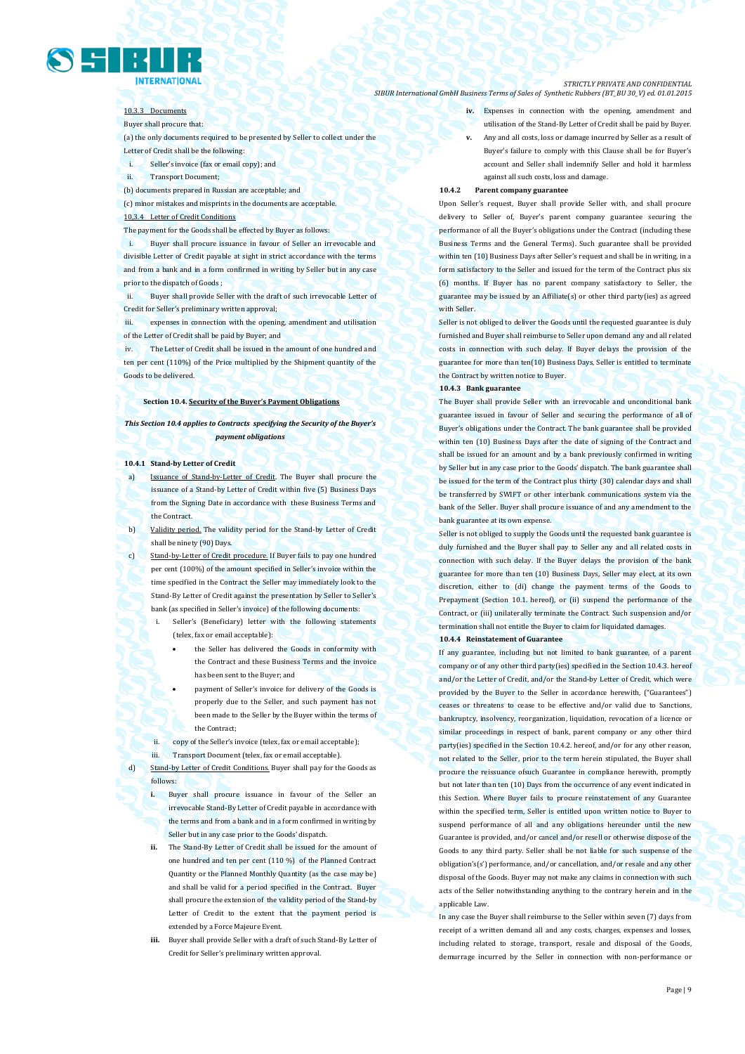

### 10.3.3 Documents

Buyer shall procure that:

(a) the only documents required to be presented by Seller to collect under the Letter of Credit shall be the following:

- i. Seller's invoice (fax or email copy); and
- ii. Transport Document;

(b) documents prepared in Russian are acceptable; and

(c) minor mistakes and misprints in the documents are acceptable. 10,3.4 Letter of Credit Conditions

The payment for the Goods shall be effected by Buyer as follows:

i. Buyer shall procure issuance in favour of Seller an irrevocable and divisible Letter of Credit payable at sight in strict accordance with the terms and from a bank and in a form confirmed in writing by Seller but in any case prior to the dispatch of Goods ;

Buyer shall provide Seller with the draft of such irrevocable Letter of Credit for Seller's preliminary written approval;

expenses in connection with the opening, amendment and utilisation of the Letter of Credit shall be paid by Buyer; and

iv. The Letter of Credit shall be issued in the amount of one hundred and ten per cent (110%) of the Price multiplied by the Shipment quantity of the Goods to be delivered.

### **Section 10.4. Security of the Buyer's Payment Obligations**

*This Section 10.4 applies to Contracts specifying the Security of the Buyer's payment obligations*

### **10.4.1 Stand-by Letter of Credit**

Issuance of Stand-by-Letter of Credit. The Buyer shall procure the issuance of a Stand-by Letter of Credit within five (5) Business Days from the Signing Date in accordance with these Business Terms and the Contract.

b) Validity period. The validity period for the Stand-by Letter of Credit shall be ninety (90) Days.

c) Stand-by-Letter of Credit procedure. If Buyer fails to pay one hundred per cent (100%) of the amount specified in Seller's invoice within the time specified in the Contract the Seller may immediately look to the Stand-By Letter of Credit against the presentation by Seller to Seller's bank (as specified in Seller's invoice) of the following documents:

> Seller's (Beneficiary) letter with the following statements (telex, fax or email acceptable):

> > the Seller has delivered the Goods in conformity with the Contract and these Business Terms and the invoice has been sent to the Buyer; and

> > payment of Seller's invoice for delivery of the Goods is properly due to the Seller, and such payment has not been made to the Seller by the Buyer within the terms of the Contract;

- ii. copy of the Seller's invoice (telex, fax or email acceptable);
- iii. Transport Document (telex, fax or email acceptable).

Stand-by Letter of Credit Conditions. Buyer shall pay for the Goods as follows:

**i.** Buyer shall procure issuance in favour of the Seller an irrevocable Stand-By Letter of Credit payable in accordance with the terms and from a bank and in a form confirmed in writing by Seller but in any case prior to the Goods' dispatch.

**ii.** The Stand-By Letter of Credit shall be issued for the amount of one hundred and ten per cent (110 %) of the Planned Contract Quantity or the Planned Monthly Quantity (as the case may be) and shall be valid for a period specified in the Contract. Buyer shall procure the extension of the validity period of the Stand-by Letter of Credit to the extent that the payment period is extended by a Force Majeure Event.

**iii.** Buyer shall provide Seller with a draft of such Stand-By Letter of Credit for Seller's preliminary written approval.

#### *STRICTLY PRIVATE AND CONFIDENTIAL SIBUR International GmbH Business Terms of Sales of Synthetic Rubbers (BT\_BU 30\_V) ed. 01.01.2015*

**iv.** Expenses in connection with the opening, amendment and utilisation of the Stand-By Letter of Credit shall be paid by Buyer.

**v.** Any and all costs, loss or damage incurred by Seller as a result of Buyer's failure to comply with this Clause shall be for Buyer's account and Seller shall indemnify Seller and hold it harmless against all such costs, loss and damage.

#### **10.4.2 Parent company guarantee**

Upon Seller's request, Buyer shall provide Seller with, and shall procure delivery to Seller of, Buyer's parent company guarantee securing the performance of all the Buyer's obligations under the Contract (including these Business Terms and the General Terms). Such guarantee shall be provided within ten (10) Business Days after Seller's request and shall be in writing, in a form satisfactory to the Seller and issued for the term of the Contract plus six (6) months. If Buyer has no parent company satisfactory to Seller, the guarantee may be issued by an Affiliate(s) or other third party(ies) as agreed with Seller

Seller is not obliged to deliver the Goods until the requested guarantee is duly furnished and Buyer shall reimburse to Seller upon demand any and all related costs in connection with such delay. If Buyer delays the provision of the guarantee for more than ten(10) Business Days, Seller is entitled to terminate the Contract by written notice to Buyer.

### **10.4.3 Bank guarantee**

The Buyer shall provide Seller with an irrevocable and unconditional bank guarantee issued in favour of Seller and securing the performance of all of Buyer's obligations under the Contract. The bank guarantee shall be provided within ten (10) Business Days after the date of signing of the Contract and shall be issued for an amount and by a bank previously confirmed in writing by Seller but in any case prior to the Goods' dispatch. The bank guarantee shall be issued for the term of the Contract plus thirty (30) calendar days and shall be transferred by SWIFT or other interbank communications system via the bank of the Seller. Buyer shall procure issuance of and any amendment to the bank guarantee at its own expense.

Seller is not obliged to supply the Goods until the requested bank guarantee is duly furnished and the Buyer shall pay to Seller any and all related costs in connection with such delay. If the Buyer delays the provision of the bank guarantee for more than ten (10) Business Days, Seller may elect, at its own discretion, either to (di) change the payment terms of the Goods to Prepayment (Section 10.1. hereof), or (ii) suspend the performance of the Contract, or (iii) unilaterally terminate the Contract. Such suspension and/or termination shall not entitle the Buyer to claim for liquidated damages.

### **10.4.4 Reinstatement of Guarantee**

If any guarantee, including but not limited to bank guarantee, of a parent company or of any other third party(ies) specified in the Section 10.4.3. hereof and/or the Letter of Credit, and/or the Stand-by Letter of Credit, which were provided by the Buyer to the Seller in accordance herewith, ("Guarantees") ceases or threatens to cease to be effective and/or valid due to Sanctions, bankruptcy, insolvency, reorganization, liquidation, revocation of a licence or similar proceedings in respect of bank, parent company or any other third party(ies) specified in the Section 10.4.2. hereof, and/or for any other reason, not related to the Seller, prior to the term herein stipulated, the Buyer shall procure the reissuance ofsuch Guarantee in compliance herewith, promptly but not later than ten (10) Days from the occurrence of any event indicated in this Section. Where Buyer fails to procure reinstatement of any Guarantee within the specified term, Seller is entitled upon written notice to Buyer to suspend performance of all and any obligations hereunder until the new Guarantee is provided, and/or cancel and/or resell or otherwise dispose of the Goods to any third party. Seller shall be not liable for such suspense of the obligation's(s') performance, and/or cancellation, and/or resale and any other disposal of the Goods. Buyer may not make any claims in connection with such acts of the Seller notwithstanding anything to the contrary herein and in the applicable Law.

In any case the Buyer shall reimburse to the Seller within seven (7) days from receipt of a written demand all and any costs, charges, expenses and losses, including related to storage, transport, resale and disposal of the Goods, demurrage incurred by the Seller in connection with non-performance or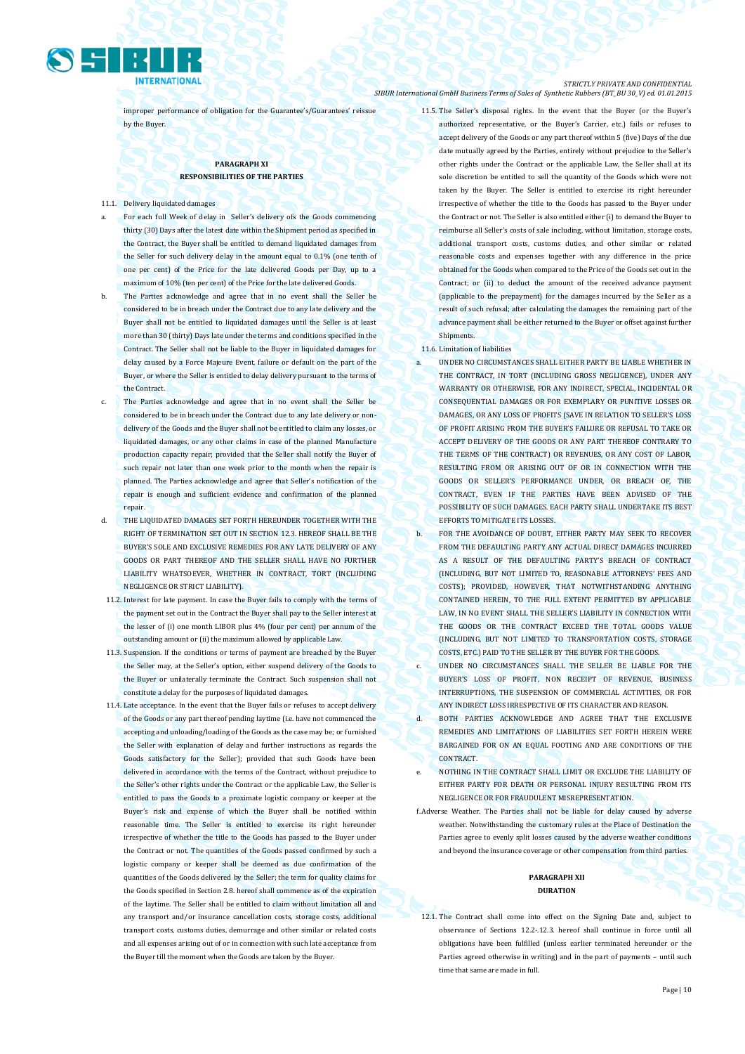

improper performance of obligation for the Guarantee's/Guarantees' reissue by the Buyer.

### **PARAGRAPH XI RESPONSIBILITIES OF THE PARTIES**

11.1. Delivery liquidated damages

- For each full Week of delay in Seller's delivery ofs the Goods commencing thirty (30) Days after the latest date within the Shipment period as specified in the Contract, the Buyer shall be entitled to demand liquidated damages from the Seller for such delivery delay in the amount equal to 0.1% (one tenth of one per cent) of the Price for the late delivered Goods per Day, up to a maximum of 10% (ten per cent) of the Price for the late delivered Goods.
- b. The Parties acknowledge and agree that in no event shall the Seller be considered to be in breach under the Contract due to any late delivery and the Buyer shall not be entitled to liquidated damages until the Seller is at least more than 30 (thirty) Days late under the terms and conditions specified in the Contract. The Seller shall not be liable to the Buyer in liquidated damages for delay caused by a Force Majeure Event, failure or default on the part of the Buyer, or where the Seller is entitled to delay delivery pursuant to the terms of the Contract.
- The Parties acknowledge and agree that in no event shall the Seller be considered to be in breach under the Contract due to any late delivery or nondelivery of the Goods and the Buyer shall not be entitled to claim any losses, or liquidated damages, or any other claims in case of the planned Manufacture production capacity repair; provided that the Seller shall notify the Buyer of such repair not later than one week prior to the month when the repair is planned. The Parties acknowledge and agree that Seller's notification of the repair is enough and sufficient evidence and confirmation of the planned repair.
- d. THE LIQUIDATED DAMAGES SET FORTH HEREUNDER TOGETHER WITH THE RIGHT OF TERMINATION SET OUT IN SECTION 12.3. HEREOF SHALL BE THE BUYER'S SOLE AND EXCLUSIVE REMEDIES FOR ANY LATE DELIVERY OF ANY GOODS OR PART THEREOF AND THE SELLER SHALL HAVE NO FURTHER LIABILITY WHATSOEVER, WHETHER IN CONTRACT, TORT (INCLUDING NEGLIGENCE OR STRICT LIABILITY).
- 11.2. Interest for late payment. In case the Buyer fails to comply with the terms of the payment set out in the Contract the Buyer shall pay to the Seller interest at the lesser of (i) one month LIBOR plus 4% (four per cent) per annum of the outstanding amount or (ii) the maximum allowed by applicable Law.
- 11.3. Suspension. If the conditions or terms of payment are breached by the Buyer the Seller may, at the Seller's option, either suspend delivery of the Goods to the Buyer or unilaterally terminate the Contract. Such suspension shall not constitute a delay for the purposes of liquidated damages.
- 11.4. Late acceptance. In the event that the Buyer fails or refuses to accept delivery of the Goods or any part thereof pending laytime (i.e. have not commenced the accepting and unloading/loading of the Goods as the case may be; or furnished the Seller with explanation of delay and further instructions as regards the Goods satisfactory for the Seller); provided that such Goods have been delivered in accordance with the terms of the Contract, without prejudice to the Seller's other rights under the Contract or the applicable Law, the Seller is entitled to pass the Goods to a proximate logistic company or keeper at the Buyer's risk and expense of which the Buyer shall be notified within reasonable time. The Seller is entitled to exercise its right hereunder irrespective of whether the title to the Goods has passed to the Buyer under the Contract or not. The quantities of the Goods passed confirmed by such a logistic company or keeper shall be deemed as due confirmation of the quantities of the Goods delivered by the Seller; the term for quality claims for the Goods specified in Section 2.8. hereof shall commence as of the expiration of the laytime. The Seller shall be entitled to claim without limitation all and any transport and/or insurance cancellation costs, storage costs, additional transport costs, customs duties, demurrage and other similar or related costs and all expenses arising out of or in connection with such late acceptance from the Buyer till the moment when the Goods are taken by the Buyer.

11.5. The Seller's disposal rights. In the event that the Buyer (or the Buyer's authorized representative, or the Buyer's Carrier, etc.) fails or refuses to accept delivery of the Goods or any part thereof within 5 (five) Days of the due date mutually agreed by the Parties, entirely without prejudice to the Seller's other rights under the Contract or the applicable Law, the Seller shall at its sole discretion be entitled to sell the quantity of the Goods which were not taken by the Buyer. The Seller is entitled to exercise its right hereunder irrespective of whether the title to the Goods has passed to the Buyer under the Contract or not. The Seller is also entitled either (i) to demand the Buyer to reimburse all Seller's costs of sale including, without limitation, storage costs, additional transport costs, customs duties, and other similar or related reasonable costs and expenses together with any difference in the price obtained for the Goods when compared to the Price of the Goods set out in the Contract: or (ii) to deduct the amount of the received advance payment (applicable to the prepayment) for the damages incurred by the Seller as a result of such refusal; after calculating the damages the remaining part of the advance payment shall be either returned to the Buyer or offset against further **Shipments** 

### 11.6. Limitation of liabilities

- UNDER NO CIRCUMSTANCES SHALL EITHER PARTY BE LIABLE WHETHER IN THE CONTRACT, IN TORT (INCLUDING GROSS NEGLIGENCE), UNDER ANY WARRANTY OR OTHERWISE, FOR ANY INDIRECT, SPECIAL, INCIDENTAL OR CONSEQUENTIAL DAMAGES OR FOR EXEMPLARY OR PUNITIVE LOSSES OR DAMAGES, OR ANY LOSS OF PROFITS (SAVE IN RELATION TO SELLER'S LOSS OF PROFIT ARISING FROM THE BUYER'S FAILURE OR REFUSAL TO TAKE OR ACCEPT DELIVERY OF THE GOODS OR ANY PART THEREOF CONTRARY TO THE TERMS OF THE CONTRACT) OR REVENUES, OR ANY COST OF LABOR, RESULTING FROM OR ARISING OUT OF OR IN CONNECTION WITH THE GOODS OR SELLER'S PERFORMANCE UNDER, OR BREACH OF, THE CONTRACT, EVEN IF THE PARTIES HAVE BEEN ADVISED OF THE POSSIBILITY OF SUCH DAMAGES. EACH PARTY SHALL UNDERTAKE ITS BEST EFFORTS TO MITIGATE ITS LOSSES.
- b. FOR THE AVOIDANCE OF DOUBT, EITHER PARTY MAY SEEK TO RECOVER FROM THE DEFAULTING PARTY ANY ACTUAL DIRECT DAMAGES INCURRED AS A RESULT OF THE DEFAULTING PARTY'S BREACH OF CONTRACT (INCLUDING, BUT NOT LIMITED TO, REASONABLE ATTORNEYS' FEES AND COSTS); PROVIDED, HOWEVER, THAT NOTWITHSTANDING ANYTHING CONTAINED HEREIN, TO THE FULL EXTENT PERMITTED BY APPLICABLE LAW, IN NO EVENT SHALL THE SELLER'S LIABILITY IN CONNECTION WITH THE GOODS OR THE CONTRACT EXCEED THE TOTAL GOODS VALUE (INCLUDING, BUT NOT LIMITED TO TRANSPORTATION COSTS, STORAGE COSTS, ETC.) PAID TO THE SELLER BY THE BUYER FOR THE GOODS.
- c. UNDER NO CIRCUMSTANCES SHALL THE SELLER BE LIABLE FOR THE BUYER'S LOSS OF PROFIT, NON RECEIPT OF REVENUE, BUSINESS INTERRUPTIONS, THE SUSPENSION OF COMMERCIAL ACTIVITIES, OR FOR ANY INDIRECT LOSS IRRESPECTIVE OF ITS CHARACTER AND REASON.
- d. BOTH PARTIES ACKNOWLEDGE AND AGREE THAT THE EXCLUSIVE REMEDIES AND LIMITATIONS OF LIABILITIES SET FORTH HEREIN WERE BARGAINED FOR ON AN EQUAL FOOTING AND ARE CONDITIONS OF THE **CONTRACT**
- e. NOTHING IN THE CONTRACT SHALL LIMIT OR EXCLUDE THE LIABILITY OF EITHER PARTY FOR DEATH OR PERSONAL INJURY RESULTING FROM ITS NEGLIGENCE OR FOR FRAUDULENT MISREPRESENTATION.
- f.Adverse Weather. The Parties shall not be liable for delay caused by adverse weather. Notwithstanding the customary rules at the Place of Destination the Parties agree to evenly split losses caused by the adverse weather conditions and beyond the insurance coverage or other compensation from third parties.

### **PARAGRAPH XII DURATION**

12.1. The Contract shall come into effect on the Signing Date and, subject to observance of Sections 12.2-.12.3. hereof shall continue in force until all obligations have been fulfilled (unless earlier terminated hereunder or the Parties agreed otherwise in writing) and in the part of payments – until such time that same are made in full.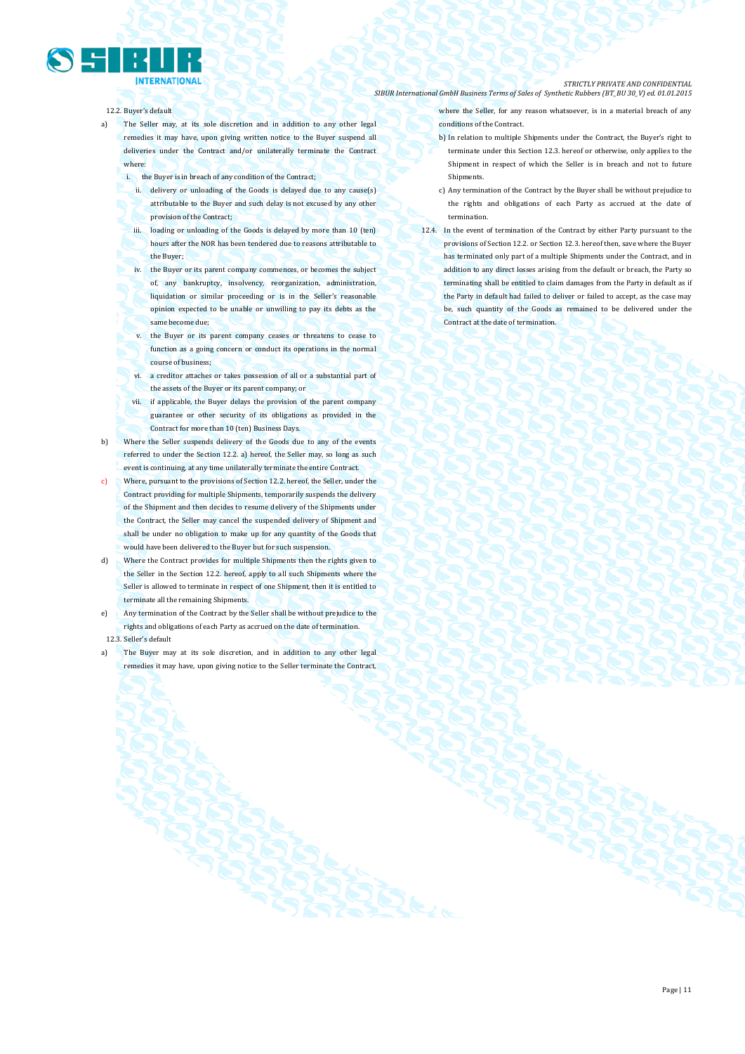### 12.2. Buyer's default

- a) The Seller may, at its sole discretion and in addition to any other legal remedies it may have, upon giving written notice to the Buyer suspend all deliveries under the Contract and/or unilaterally terminate the Contract where:
	- i. the Buyer is in breach of any condition of the Contract;
		- ii. delivery or unloading of the Goods is delayed due to any cause(s) attributable to the Buyer and such delay is not excused by any other provision of the Contract;
		- iii. loading or unloading of the Goods is delayed by more than 10 (ten) hours after the NOR has been tendered due to reasons attributable to the Buyer;
	- iv. the Buyer or its parent company commences, or becomes the subject of, any bankruptcy, insolvency, reorganization, administration, liquidation or similar proceeding or is in the Seller's reasonable opinion expected to be unable or unwilling to pay its debts as the same become due;
	- v. the Buyer or its parent company ceases or threatens to cease to function as a going concern or conduct its operations in the normal course of business;
	- vi. a creditor attaches or takes possession of all or a substantial part of the assets of the Buyer or its parent company; or
	- vii. if applicable, the Buyer delays the provision of the parent company guarantee or other security of its obligations as provided in the Contract for more than 10 (ten) Business Days.
- b) Where the Seller suspends delivery of the Goods due to any of the events referred to under the Section 12.2. a) hereof, the Seller may, so long as such event is continuing, at any time unilaterally terminate the entire Contract.
- c) Where, pursuant to the provisions of Section 12.2. hereof, the Seller, under the Contract providing for multiple Shipments, temporarily suspends the delivery of the Shipment and then decides to resume delivery of the Shipments under the Contract, the Seller may cancel the suspended delivery of Shipment and shall be under no obligation to make up for any quantity of the Goods that would have been delivered to the Buyer but for such suspension.
- d) Where the Contract provides for multiple Shipments then the rights given to the Seller in the Section 12.2. hereof, apply to all such Shipments where the Seller is allowed to terminate in respect of one Shipment, then it is entitled to terminate all the remaining Shipments.
- e) Any termination of the Contract by the Seller shall be without prejudice to the rights and obligations of each Party as accrued on the date of termination. 12.3. Seller's default
- a) The Buyer may at its sole discretion, and in addition to any other legal remedies it may have, upon giving notice to the Seller terminate the Contract,

where the Seller, for any reason whatsoever, is in a material breach of any conditions of the Contract.

- b) In relation to multiple Shipments under the Contract, the Buyer's right to terminate under this Section 12.3. hereof or otherwise, only applies to the Shipment in respect of which the Seller is in breach and not to future **Shinments**
- c) Any termination of the Contract by the Buyer shall be without prejudice to the rights and obligations of each Party as accrued at the date of termination.
- 12.4. In the event of termination of the Contract by either Party pursuant to the provisions of Section 12.2. or Section 12.3. hereof then, save where the Buyer has terminated only part of a multiple Shipments under the Contract, and in addition to any direct losses arising from the default or breach, the Party so terminating shall be entitled to claim damages from the Party in default as if the Party in default had failed to deliver or failed to accept, as the case may be, such quantity of the Goods as remained to be delivered under the Contract at the date of termination.